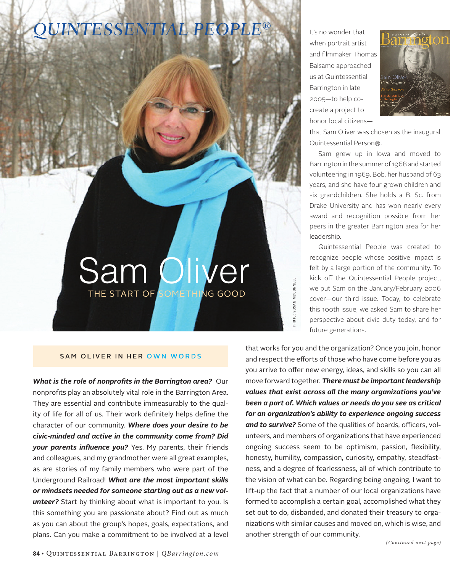## *QUINTESSENTIAL PEOPLE®*

It's no wonder that when portrait artist and filmmaker Thomas Balsamo approached us at Quintessential Barrington in late 2005—to help cocreate a project to honor local citizens—



that Sam Oliver was chosen as the inaugural Quintessential Person®.

Sam grew up in Iowa and moved to Barrington in the summer of 1968 and started volunteering in 1969. Bob, her husband of 63 years, and she have four grown children and six grandchildren. She holds a B. Sc. from Drake University and has won nearly every award and recognition possible from her peers in the greater Barrington area for her leadership.

Quintessential People was created to recognize people whose positive impact is felt by a large portion of the community. To kick off the Quintessential People project, we put Sam on the January/February 2006 cover—our third issue. Today, to celebrate this 100th issue, we asked Sam to share her perspective about civic duty today, and for future generations.

## SAM OLIVER IN HER OWN WORDS

Sam Oliver

THE START OF SOMETHING GOOD

*What is the role of nonprofits in the Barrington area?* Our nonprofits play an absolutely vital role in the Barrington Area. They are essential and contribute immeasurably to the quality of life for all of us. Their work definitely helps define the character of our community. *Where does your desire to be civic-minded and active in the community come from? Did your parents influence you?* Yes. My parents, their friends and colleagues, and my grandmother were all great examples, as are stories of my family members who were part of the Underground Railroad! *What are the most important skills or mindsets needed for someone starting out as a new volunteer?* Start by thinking about what is important to you. Is this something you are passionate about? Find out as much as you can about the group's hopes, goals, expectations, and plans. Can you make a commitment to be involved at a level

that works for you and the organization? Once you join, honor and respect the efforts of those who have come before you as you arrive to offer new energy, ideas, and skills so you can all move forward together. *There must be important leadership values that exist across all the many organizations you've been a part of. Which values or needs do you see as critical for an organization's ability to experience ongoing success and to survive?* Some of the qualities of boards, officers, volunteers, and members of organizations that have experienced ongoing success seem to be optimism, passion, flexibility, honesty, humility, compassion, curiosity, empathy, steadfastness, and a degree of fearlessness, all of which contribute to the vision of what can be. Regarding being ongoing, I want to lift-up the fact that a number of our local organizations have formed to accomplish a certain goal, accomplished what they set out to do, disbanded, and donated their treasury to organizations with similar causes and moved on, which is wise, and another strength of our community.

PHOTO: SUSAN MCCONNELL

SUSAN MCCONNELL